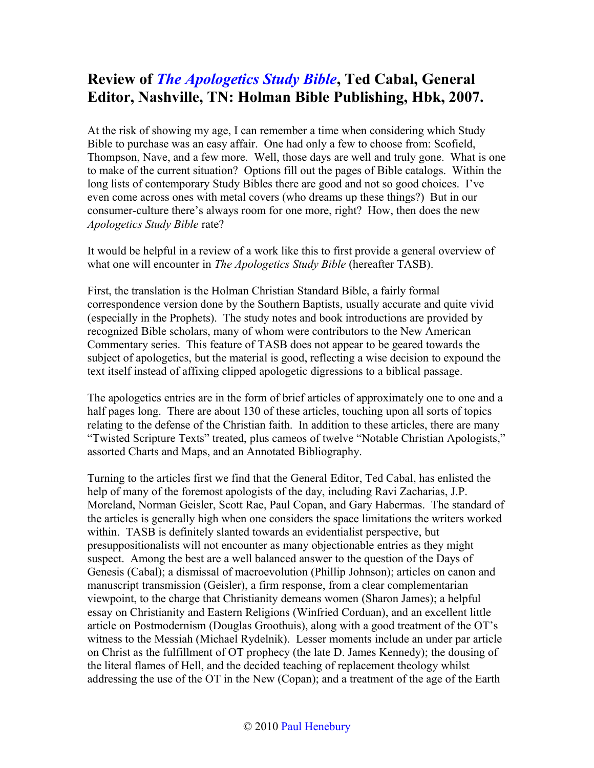## **Review of** *[The Apologetics Study Bible](http://www.bestbookdeal.com/book/compare/9781586400248)***, Ted Cabal, General Editor, Nashville, TN: Holman Bible Publishing, Hbk, 2007.**

At the risk of showing my age, I can remember a time when considering which Study Bible to purchase was an easy affair. One had only a few to choose from: Scofield, Thompson, Nave, and a few more. Well, those days are well and truly gone. What is one to make of the current situation? Options fill out the pages of Bible catalogs. Within the long lists of contemporary Study Bibles there are good and not so good choices. I've even come across ones with metal covers (who dreams up these things?) But in our consumer-culture there's always room for one more, right? How, then does the new *Apologetics Study Bible* rate?

It would be helpful in a review of a work like this to first provide a general overview of what one will encounter in *The Apologetics Study Bible* (hereafter TASB).

First, the translation is the Holman Christian Standard Bible, a fairly formal correspondence version done by the Southern Baptists, usually accurate and quite vivid (especially in the Prophets). The study notes and book introductions are provided by recognized Bible scholars, many of whom were contributors to the New American Commentary series. This feature of TASB does not appear to be geared towards the subject of apologetics, but the material is good, reflecting a wise decision to expound the text itself instead of affixing clipped apologetic digressions to a biblical passage.

The apologetics entries are in the form of brief articles of approximately one to one and a half pages long. There are about 130 of these articles, touching upon all sorts of topics relating to the defense of the Christian faith. In addition to these articles, there are many "Twisted Scripture Texts" treated, plus cameos of twelve "Notable Christian Apologists," assorted Charts and Maps, and an Annotated Bibliography.

Turning to the articles first we find that the General Editor, Ted Cabal, has enlisted the help of many of the foremost apologists of the day, including Ravi Zacharias, J.P. Moreland, Norman Geisler, Scott Rae, Paul Copan, and Gary Habermas. The standard of the articles is generally high when one considers the space limitations the writers worked within. TASB is definitely slanted towards an evidentialist perspective, but presuppositionalists will not encounter as many objectionable entries as they might suspect. Among the best are a well balanced answer to the question of the Days of Genesis (Cabal); a dismissal of macroevolution (Phillip Johnson); articles on canon and manuscript transmission (Geisler), a firm response, from a clear complementarian viewpoint, to the charge that Christianity demeans women (Sharon James); a helpful essay on Christianity and Eastern Religions (Winfried Corduan), and an excellent little article on Postmodernism (Douglas Groothuis), along with a good treatment of the OT's witness to the Messiah (Michael Rydelnik). Lesser moments include an under par article on Christ as the fulfillment of OT prophecy (the late D. James Kennedy); the dousing of the literal flames of Hell, and the decided teaching of replacement theology whilst addressing the use of the OT in the New (Copan); and a treatment of the age of the Earth